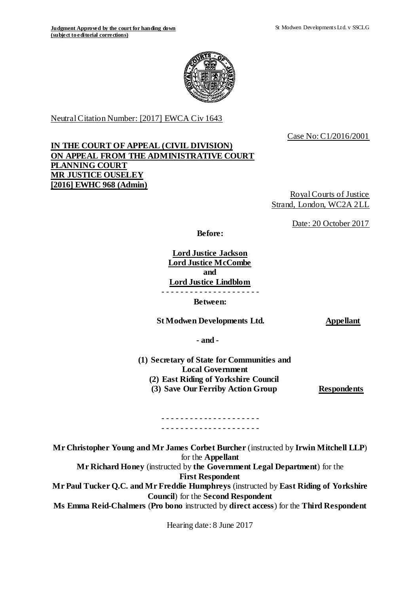

Neutral Citation Number: [2017] EWCA Civ 1643

Case No: C1/2016/2001

# **IN THE COURT OF APPEAL (CIVIL DIVISION) ON APPEAL FROM THE ADMINISTRATIVE COURT PLANNING COURT MR JUSTICE OUSELEY [2016] EWHC 968 (Admin)**

Royal Courts of Justice Strand, London, WC2A 2LL

Date: 20 October 2017

**Before:**

**Lord Justice Jackson Lord Justice McCombe and Lord Justice Lindblom** - - - - - - - - - - - - - - - - - - - - -

**Between:**

**St Modwen Developments Ltd. Appellant** 

**- and -**

**(1) Secretary of State for Communities and Local Government (2) East Riding of Yorkshire Council (3) Save Our Ferriby Action Group Respondents**

#### . <u>- - - - - - - - - - - - - - - - - -</u> - -- - - - - - - - - - - - - - - - - - - - -

**Mr Christopher Young and Mr James Corbet Burcher** (instructed by **Irwin Mitchell LLP**) for the **Appellant Mr Richard Honey** (instructed by **the Government Legal Department**) for the **First Respondent Mr Paul Tucker Q.C. and Mr Freddie Humphreys** (instructed by **East Riding of Yorkshire Council**) for the **Second Respondent Ms Emma Reid-Chalmers** (**Pro bono** instructed by **direct access**) for the **Third Respondent**

Hearing date: 8 June 2017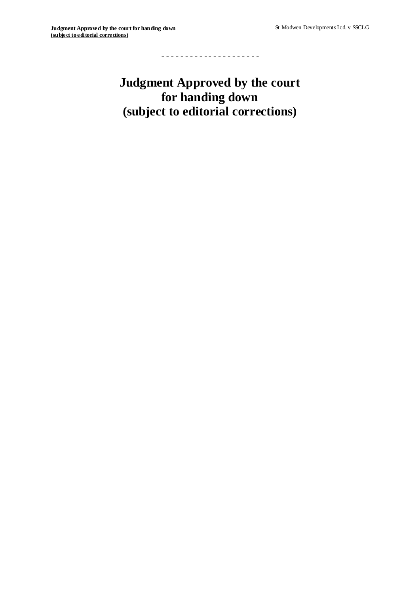- - - - - - - - - - - - - - - - - - - - -

**Judgment Approved by the court for handing down (subject to editorial corrections)**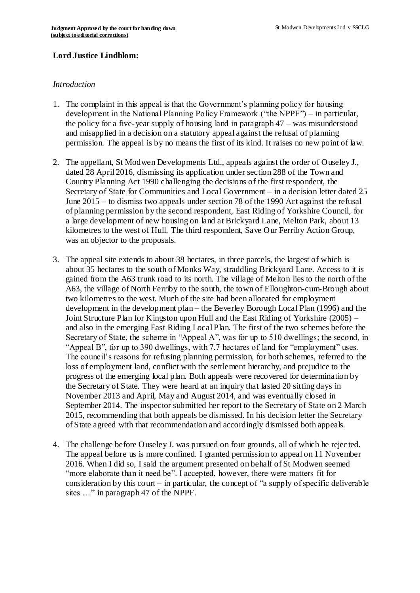#### **Lord Justice Lindblom:**

#### *Introduction*

- 1. The complaint in this appeal is that the Government's planning policy for housing development in the National Planning Policy Framework ("the NPPF") – in particular, the policy for a five-year supply of housing land in paragraph 47 – was misunderstood and misapplied in a decision on a statutory appeal against the refusal of planning permission. The appeal is by no means the first of its kind. It raises no new point of law.
- 2. The appellant, St Modwen Developments Ltd., appeals against the order of Ouseley J., dated 28 April 2016, dismissing its application under section 288 of the Town and Country Planning Act 1990 challenging the decisions of the first respondent, the Secretary of State for Communities and Local Government – in a decision letter dated 25 June 2015 – to dismiss two appeals under section 78 of the 1990 Act against the refusal of planning permission by the second respondent, East Riding of Yorkshire Council, for a large development of new housing on land at Brickyard Lane, Melton Park, about 13 kilometres to the west of Hull. The third respondent, Save Our Ferriby Action Group, was an objector to the proposals.
- 3. The appeal site extends to about 38 hectares, in three parcels, the largest of which is about 35 hectares to the south of Monks Way, straddling Brickyard Lane. Access to it is gained from the A63 trunk road to its north. The village of Melton lies to the north of the A63, the village of North Ferriby to the south, the town of Elloughton-cum-Brough about two kilometres to the west. Much of the site had been allocated for employment development in the development plan – the Beverley Borough Local Plan (1996) and the Joint Structure Plan for Kingston upon Hull and the East Riding of Yorkshire (2005) – and also in the emerging East Riding Local Plan. The first of the two schemes before the Secretary of State, the scheme in "Appeal A", was for up to 510 dwellings; the second, in "Appeal B", for up to 390 dwellings, with 7.7 hectares of land for "employment" uses. The council's reasons for refusing planning permission, for both schemes, referred to the loss of employment land, conflict with the settlement hierarchy, and prejudice to the progress of the emerging local plan. Both appeals were recovered for determination by the Secretary of State. They were heard at an inquiry that lasted 20 sitting days in November 2013 and April, May and August 2014, and was eventually closed in September 2014. The inspector submitted her report to the Secretary of State on 2 March 2015, recommending that both appeals be dismissed. In his decision letter the Secretary of State agreed with that recommendation and accordingly dismissed both appeals.
- 4. The challenge before Ouseley J. was pursued on four grounds, all of which he rejec ted. The appeal before us is more confined. I granted permission to appeal on 11 November 2016. When I did so, I said the argument presented on behalf of St Modwen seemed "more elaborate than it need be". I accepted, however, there were matters fit for consideration by this court – in particular, the concept of "a supply of specific deliverable sites ..." in paragraph 47 of the NPPF.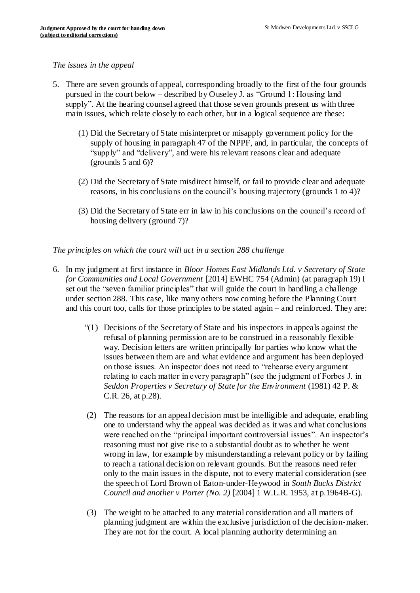#### *The issues in the appeal*

- 5. There are seven grounds of appeal, corresponding broadly to the first of the four grounds pursued in the court below – described by Ouseley J. as "Ground 1: Housing land supply". At the hearing counsel agreed that those seven grounds present us with three main issues, which relate closely to each other, but in a logical sequence are these:
	- (1) Did the Secretary of State misinterpret or misapply government policy for the supply of housing in paragraph 47 of the NPPF, and, in particular, the concepts of "supply" and "delivery", and were his relevant reasons clear and adequate (grounds 5 and 6)?
	- (2) Did the Secretary of State misdirect himself, or fail to provide clear and adequate reasons, in his conclusions on the council's housing trajectory (grounds 1 to 4)?
	- (3) Did the Secretary of State err in law in his conclusions on the council's record of housing delivery (ground 7)?

#### *The principles on which the court will act in a section 288 challenge*

- 6. In my judgment at first instance in *Bloor Homes East Midlands Ltd. v Secretary of State for Communities and Local Government* [2014] EWHC 754 (Admin) (at paragraph 19) I set out the "seven familiar principles" that will guide the court in handling a challenge under section 288. This case, like many others now coming before the Planning Court and this court too, calls for those principles to be stated again – and reinforced. They are:
	- "(1) Decisions of the Secretary of State and his inspectors in appeals against the refusal of planning permission are to be construed in a reasonably flexible way. Decision letters are written principally for parties who know what the issues between them are and what evidence and argument has been deployed on those issues. An inspector does not need to "rehearse every argument relating to each matter in every paragraph" (see the judgment of Forbes J. in *Seddon Properties v Secretary of State for the Environment* (1981) 42 P. & C.R. 26, at p.28).
	- (2) The reasons for an appeal decision must be intelligible and adequate, enabling one to understand why the appeal was decided as it was and what conclusions were reached on the "principal important controversial issues". An inspector's reasoning must not give rise to a substantial doubt as to whether he went wrong in law, for example by misunderstanding a relevant policy or by failing to reach a rational decision on relevant grounds. But the reasons need refer only to the main issues in the dispute, not to every material consideration (see the speech of Lord Brown of Eaton-under-Heywood in *South Bucks District Council and another v Porter (No. 2)* [2004] 1 W.L.R. 1953, at p.1964B-G).
	- (3) The weight to be attached to any material consideration and all matters of planning judgment are within the exclusive jurisdiction of the decision-maker. They are not for the court. A local planning authority determining an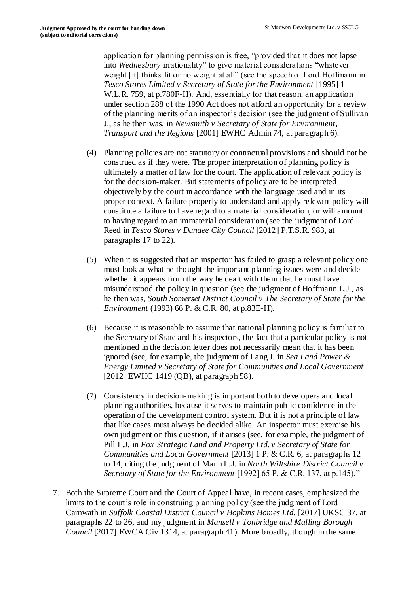application for planning permission is free, "provided that it does not lapse into *Wednesbury* irrationality" to give material considerations "whatever weight [it] thinks fit or no weight at all" (see the speech of Lord Hoffmann in *Tesco Stores Limited v Secretary of State for the Environment* [1995] 1 W.L.R. 759, at p.780F-H). And, essentially for that reason, an application under section 288 of the 1990 Act does not afford an opportunity for a review of the planning merits of an inspector's decision (see the judgment of Sullivan J., as he then was, in *Newsmith v Secretary of State for Environment, Transport and the Regions* [2001] EWHC Admin 74, at paragraph 6).

- (4) Planning policies are not statutory or contractual provisions and should not be construed as if they were. The proper interpretation of planning policy is ultimately a matter of law for the court. The application of relevant policy is for the decision-maker. But statements of policy are to be interpreted objectively by the court in accordance with the language used and in its proper context. A failure properly to understand and apply relevant policy will constitute a failure to have regard to a material consideration, or will amount to having regard to an immaterial consideration (see the judgment of Lord Reed in *Tesco Stores v Dundee City Council* [2012] P.T.S.R. 983, at paragraphs 17 to 22).
- (5) When it is suggested that an inspector has failed to grasp a relevant policy one must look at what he thought the important planning issues were and decide whether it appears from the way he dealt with them that he must have misunderstood the policy in question (see the judgment of Hoffmann L.J., as he then was, *South Somerset District Council v The Secretary of State for the Environment* (1993) 66 P. & C.R. 80, at p.83E-H).
- (6) Because it is reasonable to assume that national planning policy is familiar to the Secretary of State and his inspectors, the fact that a particular policy is not mentioned in the decision letter does not necessarily mean that it has been ignored (see, for example, the judgment of Lang J. in *Sea Land Power & Energy Limited v Secretary of State for Communities and Local Government* [2012] EWHC 1419 (QB), at paragraph 58).
- (7) Consistency in decision-making is important both to developers and local planning authorities, because it serves to maintain public confidence in the operation of the development control system. But it is not a principle of law that like cases must always be decided alike. An inspector must exercise his own judgment on this question, if it arises (see, for example, the judgment of Pill L.J. in *Fox Strategic Land and Property Ltd. v Secretary of State for Communities and Local Government* [2013] 1 P. & C.R. 6, at paragraphs 12 to 14, citing the judgment of Mann L.J. in *North Wiltshire District Council v Secretary of State for the Environment* [1992] 65 P. & C.R. 137, at p.145)."
- 7. Both the Supreme Court and the Court of Appeal have, in recent cases, emphasized the limits to the court's role in construing planning policy (see the judgment of Lord Carnwath in *Suffolk Coastal District Council v Hopkins Homes Ltd.* [2017] UKSC 37, at paragraphs 22 to 26, and my judgment in *Mansell v Tonbridge and Malling Borough Council* [2017] EWCA Civ 1314, at paragraph 41). More broadly, though in the same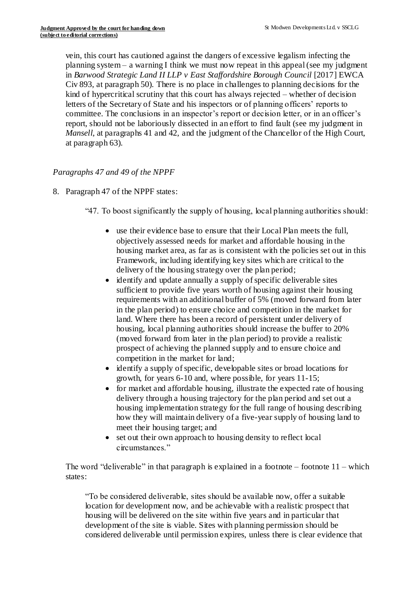vein, this court has cautioned against the dangers of excessive legalism infecting the planning system – a warning I think we must now repeat in this appeal (see my judgment in *Barwood Strategic Land II LLP v East Staffordshire Borough Council* [2017] EWCA Civ 893, at paragraph 50). There is no place in challenges to planning decisions for the kind of hypercritical scrutiny that this court has always rejected – whether of decision letters of the Secretary of State and his inspectors or of planning officers' reports to committee. The conclusions in an inspector's report or decision letter, or in an officer's report, should not be laboriously dissected in an effort to find fault (see my judgment in *Mansell*, at paragraphs 41 and 42, and the judgment of the Chancellor of the High Court, at paragraph 63).

# *Paragraphs 47 and 49 of the NPPF*

- 8. Paragraph 47 of the NPPF states:
	- "47. To boost significantly the supply of housing, local planning authorities should:
		- use their evidence base to ensure that their Local Plan meets the full, objectively assessed needs for market and affordable housing in the housing market area, as far as is consistent with the policies set out in this Framework, including identifying key sites which are critical to the delivery of the housing strategy over the plan period;
		- identify and update annually a supply of specific deliverable sites sufficient to provide five years worth of housing against their housing requirements with an additional buffer of 5% (moved forward from later in the plan period) to ensure choice and competition in the market for land. Where there has been a record of persistent under delivery of housing, local planning authorities should increase the buffer to 20% (moved forward from later in the plan period) to provide a realistic prospect of achieving the planned supply and to ensure choice and competition in the market for land;
		- identify a supply of specific, developable sites or broad locations for growth, for years 6-10 and, where possible, for years 11-15;
		- for market and affordable housing, illustrate the expected rate of housing delivery through a housing trajectory for the plan period and set out a housing implementation strategy for the full range of housing describing how they will maintain delivery of a five-year supply of housing land to meet their housing target; and
		- set out their own approach to housing density to reflect local circumstances."

The word "deliverable" in that paragraph is explained in a footnote – footnote  $11$  – which states:

"To be considered deliverable, sites should be available now, offer a suitable location for development now, and be achievable with a realistic prospect that housing will be delivered on the site within five years and in particular that development of the site is viable. Sites with planning permission should be considered deliverable until permission expires, unless there is clear evidence that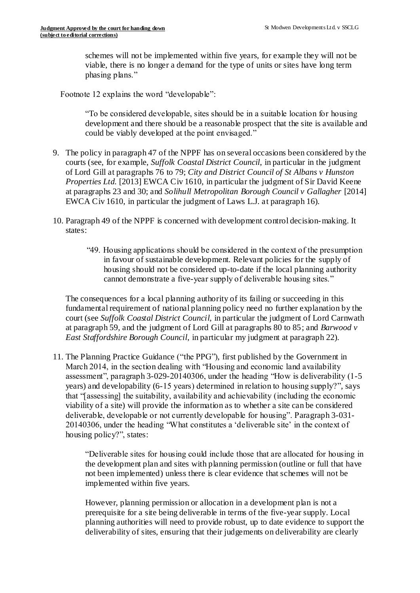schemes will not be implemented within five years, for example they will not be viable, there is no longer a demand for the type of units or sites have long term phasing plans."

Footnote 12 explains the word "developable":

"To be considered developable, sites should be in a suitable location for housing development and there should be a reasonable prospect that the site is available and could be viably developed at the point envisaged."

- 9. The policy in paragraph 47 of the NPPF has on several occasions been considered by the courts (see, for example, *Suffolk Coastal District Council*, in particular in the judgment of Lord Gill at paragraphs 76 to 79; *City and District Council of St Albans v Hunston Properties Ltd.* [2013] EWCA Civ 1610, in particular the judgment of Sir David Keene at paragraphs 23 and 30; and *Solihull Metropolitan Borough Council v Gallagher* [2014] EWCA Civ 1610, in particular the judgment of Laws L.J. at paragraph 16).
- 10. Paragraph 49 of the NPPF is concerned with development control decision-making. It states:
	- "49. Housing applications should be considered in the context of the presumption in favour of sustainable development. Relevant policies for the supply of housing should not be considered up-to-date if the local planning authority cannot demonstrate a five-year supply of deliverable housing sites."

The consequences for a local planning authority of its failing or succeeding in this fundamental requirement of national planning policy need no further explanation by the court (see *Suffolk Coastal District Council*, in particular the judgment of Lord Carnwath at paragraph 59, and the judgment of Lord Gill at paragraphs 80 to 85; and *Barwood v East Staffordshire Borough Council*, in particular my judgment at paragraph 22).

11. The Planning Practice Guidance ("the PPG"), first published by the Government in March 2014, in the section dealing with "Housing and economic land availability assessment", paragraph 3-029-20140306, under the heading "How is deliverability (1-5 years) and developability (6-15 years) determined in relation to housing supply?", says that "[assessing] the suitability, availability and achievability (including the economic viability of a site) will provide the information as to whether a site can be considered deliverable, developable or not currently developable for housing". Paragraph 3-031- 20140306, under the heading "What constitutes a 'deliverable site' in the context of housing policy?", states:

> "Deliverable sites for housing could include those that are allocated for housing in the development plan and sites with planning permission (outline or full that have not been implemented) unless there is clear evidence that schemes will not be implemented within five years.

> However, planning permission or allocation in a development plan is not a prerequisite for a site being deliverable in terms of the five-year supply. Local planning authorities will need to provide robust, up to date evidence to support the deliverability of sites, ensuring that their judgements on deliverability are clearly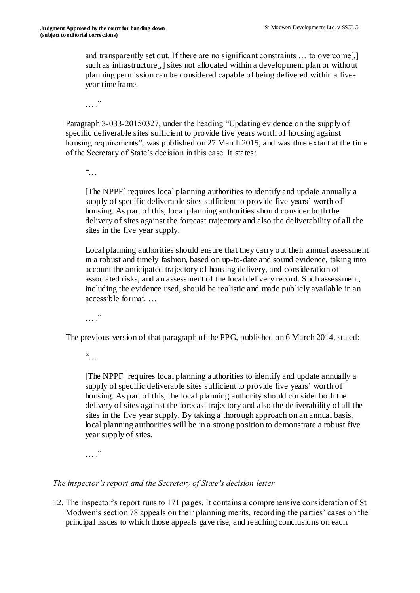and transparently set out. If there are no significant constraints … to overcome[,] such as infrastructure[,] sites not allocated within a development plan or without planning permission can be considered capable of being delivered within a fiveyear timeframe.

 $\cdots$  .

Paragraph 3-033-20150327, under the heading "Updating evidence on the supply of specific deliverable sites sufficient to provide five years worth of housing against housing requirements", was published on 27 March 2015, and was thus extant at the time of the Secretary of State's decision in this case. It states:

 $\frac{1}{2}$ 

[The NPPF] requires local planning authorities to identify and update annually a supply of specific deliverable sites sufficient to provide five years' worth of housing. As part of this, local planning authorities should consider both the delivery of sites against the forecast trajectory and also the deliverability of all the sites in the five year supply.

Local planning authorities should ensure that they carry out their annual assessment in a robust and timely fashion, based on up-to-date and sound evidence, taking into account the anticipated trajectory of housing delivery, and consideration of associated risks, and an assessment of the local delivery record. Such assessment, including the evidence used, should be realistic and made publicly available in an accessible format.

 $\cdots$   $\cdots$ 

The previous version of that paragraph of the PPG, published on 6 March 2014, stated:

 $\ddot{\cdot}$  . .

[The NPPF] requires local planning authorities to identify and update annually a supply of specific deliverable sites sufficient to provide five years' worth of housing. As part of this, the local planning authority should consider both the delivery of sites against the forecast trajectory and also the deliverability of all the sites in the five year supply. By taking a thorough approach on an annual basis, local planning authorities will be in a strong position to demonstrate a robust five year supply of sites.

 $\cdots$  .

# *The inspector's report and the Secretary of State's decision letter*

12. The inspector's report runs to 171 pages. It contains a comprehensive consideration of St Modwen's section 78 appeals on their planning merits, recording the parties' cases on the principal issues to which those appeals gave rise, and reaching conclusions on each.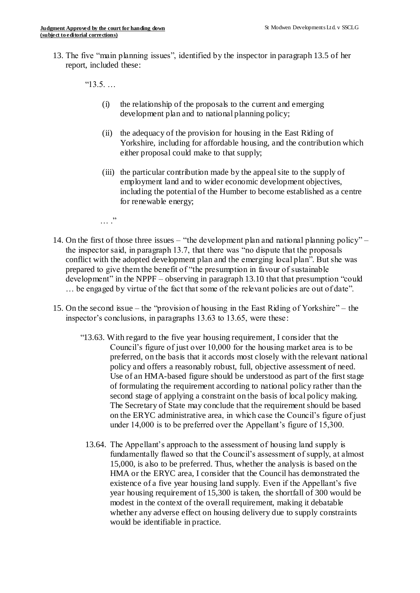13. The five "main planning issues", identified by the inspector in paragraph 13.5 of her report, included these:

"13.5. …

- (i) the relationship of the proposals to the current and emerging development plan and to national planning policy;
- (ii) the adequacy of the provision for housing in the East Riding of Yorkshire, including for affordable housing, and the contribution which either proposal could make to that supply;
- (iii) the particular contribution made by the appeal site to the supply of employment land and to wider economic development objectives, including the potential of the Humber to become established as a centre for renewable energy;

 $\cdots$  .

- 14. On the first of those three issues "the development plan and national planning policy" the inspector said, in paragraph 13.7, that there was "no dispute that the proposals conflict with the adopted development plan and the emerging local plan". But she was prepared to give them the benefit of "the presumption in favour of sustainable development" in the NPPF – observing in paragraph 13.10 that that presumption "could … be engaged by virtue of the fact that some of the relevant policies are out of date".
- 15. On the second issue the "provision of housing in the East Riding of Yorkshire" the inspector's conclusions, in paragraphs 13.63 to 13.65, were these:
	- "13.63. With regard to the five year housing requirement, I consider that the Council's figure of just over 10,000 for the housing market area is to be preferred, on the basis that it accords most closely with the relevant national policy and offers a reasonably robust, full, objective assessment of need. Use of an HMA-based figure should be understood as part of the first stage of formulating the requirement according to national policy rather than the second stage of applying a constraint on the basis of local policy making. The Secretary of State may conclude that the requirement should be based on the ERYC administrative area, in which case the Council's figure of just under 14,000 is to be preferred over the Appellant's figure of 15,300.
		- 13.64. The Appellant's approach to the assessment of housing land supply is fundamentally flawed so that the Council's assessment of supply, at almost 15,000, is also to be preferred. Thus, whether the analysis is based on the HMA or the ERYC area, I consider that the Council has demonstrated the existence of a five year housing land supply. Even if the Appellant's five year housing requirement of 15,300 is taken, the shortfall of 300 would be modest in the context of the overall requirement, making it debatable whether any adverse effect on housing delivery due to supply constraints would be identifiable in practice.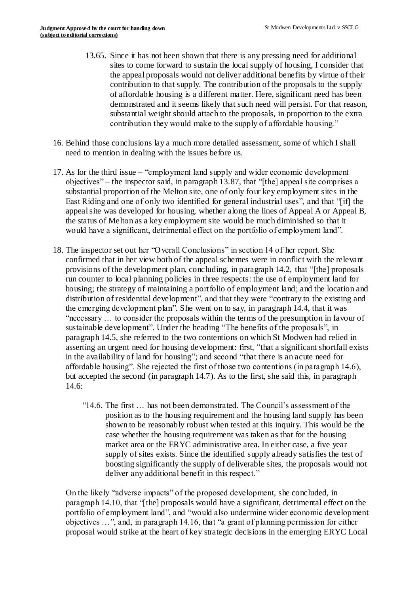- 13.65. Since it has not been shown that there is any pressing need for additional sites to come forward to sustain the local supply of housing, I consider that the appeal proposals would not deliver additional benefits by virtue of their contribution to that supply. The contribution of the proposals to the supply of affordable housing is a different matter. Here, significant need has been demonstrated and it seems likely that such need will persist. For that reason, substantial weight should attach to the proposals, in proportion to the extra contribution they would make to the supply of affordable housing."
- 16. Behind those conclusions lay a much more detailed assessment, some of which I shall need to mention in dealing with the issues before us.
- 17. As for the third issue "employment land supply and wider economic development objectives" – the inspector said, in paragraph 13.87, that "[the] appeal site comprises a substantial proportion of the Melton site, one of only four key employment sites in the East Riding and one of only two identified for general industrial uses", and that "[if] the appeal site was developed for housing, whether along the lines of Appeal A or Appeal B, the status of Melton as a key employment site would be much diminished so that it would have a significant, detrimental effect on the portfolio of employment land".
- 18. The inspector set out her "Overall Conclusions" in section 14 of her report. She confirmed that in her view both of the appeal schemes were in conflict with the relevant provisions of the development plan, concluding, in paragraph 14.2, that "[the] proposals run counter to local planning policies in three respects: the use of employment land for housing; the strategy of maintaining a portfolio of employment land; and the location and distribution of residential development", and that they were "contrary to the existing and the emerging development plan". She went on to say, in paragraph 14.4, that it was "necessary … to consider the proposals within the terms of the presumption in favour of sustainable development". Under the heading "The benefits of the proposals", in paragraph 14.5, she referred to the two contentions on which St Modwen had relied in asserting an urgent need for housing development: first, "that a significant shortfall exists in the availability of land for housing"; and second "that there is an acute need for affordable housing". She rejected the first of those two contentions (in paragraph 14.6), but accepted the second (in paragraph 14.7). As to the first, she said this, in paragraph 14.6:
	- "14.6. The first … has not been demonstrated. The Council's assessment of the position as to the housing requirement and the housing land supply has been shown to be reasonably robust when tested at this inquiry. This would be the case whether the housing requirement was taken as that for the housing market area or the ERYC administrative area. In either case, a five year supply of sites exists. Since the identified supply already satisfies the test of boosting significantly the supply of deliverable sites, the proposals would not deliver any additional benefit in this respect."

On the likely "adverse impacts" of the proposed development, she concluded, in paragraph 14.10, that "[the] proposals would have a significant, detrimental effect on the portfolio of employment land", and "would also undermine wider economic development objectives …", and, in paragraph 14.16, that "a grant of planning permission for either proposal would strike at the heart of key strategic decisions in the emerging ERYC Local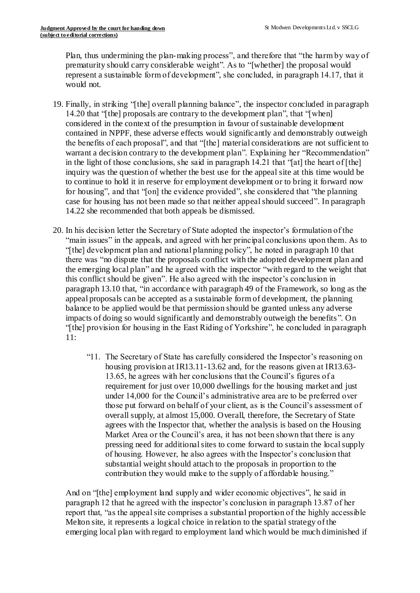Plan, thus undermining the plan-making process", and therefore that "the harm by way of prematurity should carry considerable weight". As to "[whether] the proposal would represent a sustainable form of development", she concluded, in paragraph 14.17, that it would not.

- 19. Finally, in striking "[the] overall planning balance", the inspector concluded in paragraph 14.20 that "[the] proposals are contrary to the development plan", that "[when] considered in the context of the presumption in favour of sustainable development contained in NPPF, these adverse effects would significantly and demonstrably outweigh the benefits of each proposal", and that "[the] material considerations are not sufficient to warrant a decision contrary to the development plan". Explaining her "Recommendation" in the light of those conclusions, she said in paragraph 14.21 that "[at] the heart of [the] inquiry was the question of whether the best use for the appeal site at this time would be to continue to hold it in reserve for employment development or to bring it forward now for housing", and that "[on] the evidence provided", she considered that "the planning case for housing has not been made so that neither appealshould succeed". In paragraph 14.22 she recommended that both appeals be dismissed.
- 20. In his decision letter the Secretary of State adopted the inspector's formulation of the "main issues" in the appeals, and agreed with her principal conclusions upon them. As to "[the] development plan and national planning policy", he noted in paragraph 10 that there was "no dispute that the proposals conflict with the adopted development plan and the emerging local plan" and he agreed with the inspector "with regard to the weight that this conflict should be given". He also agreed with the inspector's conclusion in paragraph 13.10 that, "in accordance with paragraph 49 of the Framework, so long as the appeal proposals can be accepted as a sustainable form of development, the planning balance to be applied would be that permission should be granted unless any adverse impacts of doing so would significantly and demonstrably outweigh the benefits ". On "[the] provision for housing in the East Riding of Yorkshire", he concluded in paragraph 11:
	- "11. The Secretary of State has carefully considered the Inspector's reasoning on housing provision at IR13.11-13.62 and, for the reasons given at IR13.63- 13.65, he agrees with her conclusions that the Council's figures of a requirement for just over 10,000 dwellings for the housing market and just under 14,000 for the Council's administrative area are to be preferred over those put forward on behalf of your client, as is the Council's assessment of overall supply, at almost 15,000. Overall, therefore, the Secretary of State agrees with the Inspector that, whether the analysis is based on the Housing Market Area or the Council's area, it has not been shown that there is any pressing need for additional sites to come forward to sustain the local supply of housing. However, he also agrees with the Inspector's conclusion that substantial weight should attach to the proposals in proportion to the contribution they would make to the supply of affordable housing."

And on "[the] employment land supply and wider economic objectives", he said in paragraph 12 that he agreed with the inspector's conclusion in paragraph 13.87 of her report that, "as the appeal site comprises a substantial proportion of the highly accessible Melton site, it represents a logical choice in relation to the spatial strategy of the emerging local plan with regard to employment land which would be much diminished if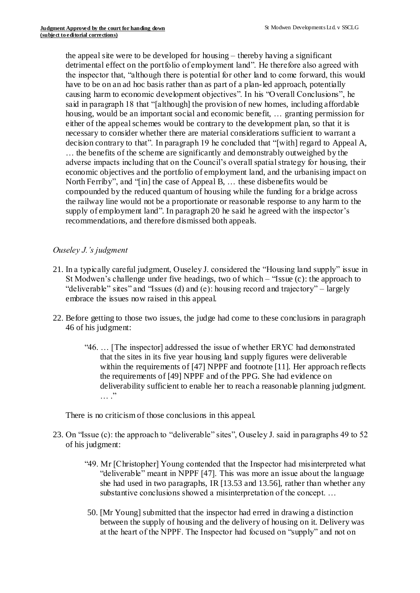the appeal site were to be developed for housing – thereby having a significant detrimental effect on the portfolio of employment land". He therefore also agreed with the inspector that, "although there is potential for other land to come forward, this would have to be on an ad hoc basis rather than as part of a plan-led approach, potentially causing harm to economic development objectives". In his "Overall Conclusions", he said in paragraph 18 that "[although] the provision of new homes, including affordable housing, would be an important social and economic benefit, … granting permission for either of the appeal schemes would be contrary to the development plan, so that it is necessary to consider whether there are material considerations sufficient to warrant a decision contrary to that". In paragraph 19 he concluded that "[with] regard to Appeal A, … the benefits of the scheme are significantly and demonstrably outweighed by the adverse impacts including that on the Council's overall spatial strategy for housing, their economic objectives and the portfolio of employment land, and the urbanising impact on North Ferriby", and "[in] the case of Appeal B, … these disbenefits would be compounded by the reduced quantum of housing while the funding for a bridge across the railway line would not be a proportionate or reasonable response to any harm to the supply of employment land". In paragraph 20 he said he agreed with the inspector's recommendations, and therefore dismissed both appeals.

# *Ouseley J.'s judgment*

- 21. In a typically careful judgment, Ouseley J. considered the "Housing land supply" issue in St Modwen's challenge under five headings, two of which – "Issue (c): the approach to "deliverable" sites" and "Issues (d) and (e): housing record and trajectory" – largely embrace the issues now raised in this appeal.
- 22. Before getting to those two issues, the judge had come to these conclusions in paragraph 46 of his judgment:
	- "46. … [The inspector] addressed the issue of whether ERYC had demonstrated that the sites in its five year housing land supply figures were deliverable within the requirements of [47] NPPF and footnote [11]. Her approach reflects the requirements of [49] NPPF and of the PPG. She had evidence on deliverability sufficient to enable her to reach a reasonable planning judgment.  $\cdots$  .

There is no criticism of those conclusions in this appeal.

- 23. On "Issue (c): the approach to "deliverable" sites", Ouseley J. said in paragraphs 49 to 52 of his judgment:
	- "49. Mr [Christopher] Young contended that the Inspector had misinterpreted what "deliverable" meant in NPPF [47]. This was more an issue about the language she had used in two paragraphs, IR [13.53 and 13.56], rather than whether any substantive conclusions showed a misinterpretation of the concept. …
	- 50. [Mr Young] submitted that the inspector had erred in drawing a distinction between the supply of housing and the delivery of housing on it. Delivery was at the heart of the NPPF. The Inspector had focused on "supply" and not on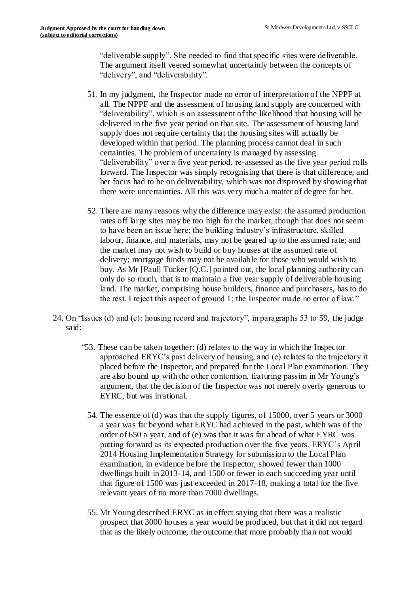"deliverable supply". She needed to find that specific sites were deliverable. The argument itself veered somewhat uncertainly between the concepts of "delivery", and "deliverability".

- 51. In my judgment, the Inspector made no error of interpretation of the NPPF at all. The NPPF and the assessment of housing land supply are concerned with "deliverability", which is an assessment of the likelihood that housing will be delivered in the five year period on that site. The assessment of housing land supply does not require certainty that the housing sites will actually be developed within that period. The planning process cannot deal in such certainties. The problem of uncertainty is managed by assessing "deliverability" over a five year period, re-assessed as the five year period rolls forward. The Inspector was simply recognising that there is that difference, and her focus had to be on deliverability, which was not disproved by showing that there were uncertainties. All this was very much a matter of degree for her.
- 52. There are many reasons why the difference may exist: the assumed production rates off large sites may be too high for the market, though that does not seem to have been an issue here; the building industry's infrastructure, skilled labour, finance, and materials, may not be geared up to the assumed rate; and the market may not wish to build or buy houses at the assumed rate of delivery; mortgage funds may not be available for those who would wish to buy. As Mr [Paul] Tucker [Q.C.] pointed out, the local planning authority can only do so much, that is to maintain a five year supply of deliverable housing land. The market, comprising house builders, finance and purchasers, has to do the rest. I reject this aspect of ground 1; the Inspector made no error of law."
- 24. On "Issues (d) and (e): housing record and trajectory", in paragraphs 53 to 59, the judge said:
	- "53. These can be taken together: (d) relates to the way in which the Inspector approached ERYC's past delivery of housing, and (e) relates to the trajectory it placed before the Inspector, and prepared for the Local Plan examination. They are also bound up with the other contention, featuring passim in Mr Young's argument, that the decision of the Inspector was not merely overly generous to EYRC, but was irrational.
		- 54. The essence of (d) was that the supply figures, of 15000, over 5 years or 3000 a year was far beyond what ERYC had achieved in the past, which was of the order of 650 a year, and of (e) was that it was far ahead of what EYRC was putting forward as its expected production over the five years. ERYC's April 2014 Housing Implementation Strategy for submission to the Local Plan examination, in evidence before the Inspector, showed fewer than 1000 dwellings built in 2013-14, and 1500 or fewer in each succeeding year until that figure of 1500 was just exceeded in 2017-18, making a total for the five relevant years of no more than 7000 dwellings.
		- 55. Mr Young described ERYC as in effect saying that there was a realistic prospect that 3000 houses a year would be produced, but that it did not regard that as the likely outcome, the outcome that more probably than not would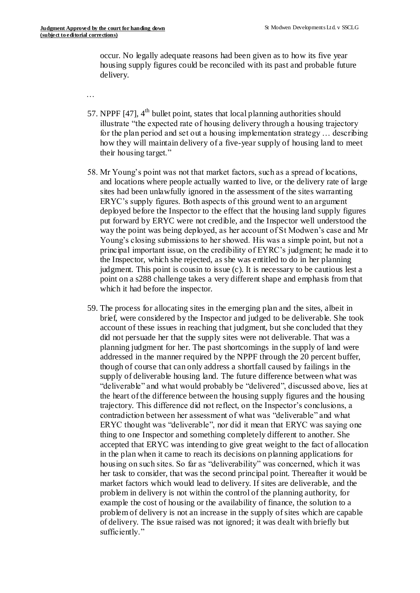occur. No legally adequate reasons had been given as to how its five year housing supply figures could be reconciled with its past and probable future delivery.

…

- 57. NPPF  $[47]$ ,  $4<sup>th</sup>$  bullet point, states that local planning authorities should illustrate "the expected rate of housing delivery through a housing trajectory for the plan period and set out a housing implementation strategy … describing how they will maintain delivery of a five-year supply of housing land to meet their housing target."
- 58. Mr Young's point was not that market factors, such as a spread of locations, and locations where people actually wanted to live, or the delivery rate of large sites had been unlawfully ignored in the assessment of the sites warranting ERYC's supply figures. Both aspects of this ground went to an argument deployed before the Inspector to the effect that the housing land supply figures put forward by ERYC were not credible, and the Inspector well understood the way the point was being deployed, as her account of St Modwen's case and Mr Young's closing submissions to her showed. His was a simple point, but not a principal important issue, on the credibility of EYRC's judgment; he made it to the Inspector, which she rejected, as she was entitled to do in her planning judgment. This point is cousin to issue (c). It is necessary to be cautious lest a point on a s288 challenge takes a very different shape and emphasis from that which it had before the inspector.
- 59. The process for allocating sites in the emerging plan and the sites, albeit in brief, were considered by the Inspector and judged to be deliverable. She took account of these issues in reaching that judgment, but she concluded that they did not persuade her that the supply sites were not deliverable. That was a planning judgment for her. The past shortcomings in the supply of land were addressed in the manner required by the NPPF through the 20 percent buffer, though of course that can only address a shortfall caused by failings in the supply of deliverable housing land. The future difference between what was "deliverable" and what would probably be "delivered", discussed above, lies at the heart of the difference between the housing supply figures and the housing trajectory. This difference did not reflect, on the Inspector's conclusions, a contradiction between her assessment of what was "deliverable" and what ERYC thought was "deliverable", nor did it mean that ERYC was saying one thing to one Inspector and something completely different to another. She accepted that ERYC was intending to give great weight to the fact of allocation in the plan when it came to reach its decisions on planning applications for housing on such sites. So far as "deliverability" was concerned, which it was her task to consider, that was the second principal point. Thereafter it would be market factors which would lead to delivery. If sites are deliverable, and the problem in delivery is not within the control of the planning authority, for example the cost of housing or the availability of finance, the solution to a problem of delivery is not an increase in the supply of sites which are capable of delivery. The issue raised was not ignored; it was dealt with briefly but sufficiently."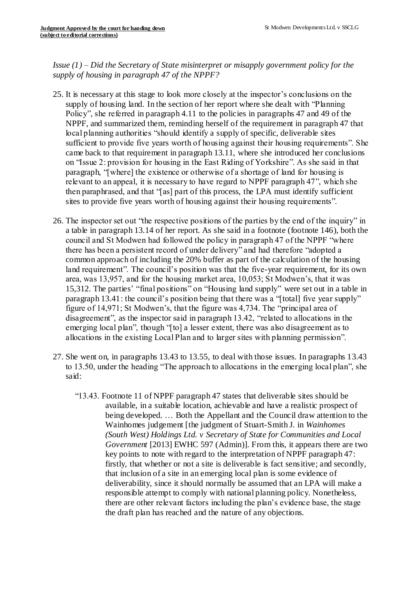*Issue (1) – Did the Secretary of State misinterpret or misapply government policy for the supply of housing in paragraph 47 of the NPPF?*

- 25. It is necessary at this stage to look more closely at the inspector's conclusions on the supply of housing land. In the section of her report where she dealt with "Planning Policy", she referred in paragraph 4.11 to the policies in paragraphs 47 and 49 of the NPPF, and summarized them, reminding herself of the requirement in paragraph 47 that local planning authorities "should identify a supply of specific, deliverable sites sufficient to provide five years worth of housing against their housing requirements". She came back to that requirement in paragraph 13.11, where she introduced her conclusions on "Issue 2: provision for housing in the East Riding of Yorkshire". As she said in that paragraph, "[where] the existence or otherwise of a shortage of land for housing is relevant to an appeal, it is necessary to have regard to NPPF paragraph 47", which she then paraphrased, and that "[as] part of this process, the LPA must identify sufficient sites to provide five years worth of housing against their housing requirements".
- 26. The inspector set out "the respective positions of the parties by the end of the inquiry" in a table in paragraph 13.14 of her report. As she said in a footnote (footnote 146), both the council and St Modwen had followed the policy in paragraph 47 of the NPPF "where there has been a persistent record of under delivery" and had therefore "adopted a common approach of including the 20% buffer as part of the calculation of the housing land requirement". The council's position was that the five-year requirement, for its own area, was 13,957, and for the housing market area, 10,053; St Modwen's, that it was 15,312. The parties' "final positions" on "Housing land supply" were set out in a table in paragraph 13.41: the council's position being that there was a "[total] five year supply" figure of 14,971; St Modwen's, that the figure was 4,734. The "principal area of disagreement", as the inspector said in paragraph 13.42, "related to allocations in the emerging local plan", though "[to] a lesser extent, there was also disagreement as to allocations in the existing Local Plan and to larger sites with planning permission".
- 27. She went on, in paragraphs 13.43 to 13.55, to deal with those issues. In paragraphs 13.43 to 13.50, under the heading "The approach to allocations in the emerging local plan", she said:
	- "13.43. Footnote 11 of NPPF paragraph 47 states that deliverable sites should be available, in a suitable location, achievable and have a realistic prospect of being developed. … Both the Appellant and the Council draw attention to the Wainhomes judgement [the judgment of Stuart-Smith J. in *Wainhomes (South West) Holdings Ltd. v Secretary of State for Communities and Local Government* [2013] EWHC 597 (Admin)]. From this, it appears there are two key points to note with regard to the interpretation of NPPF paragraph 47: firstly, that whether or not a site is deliverable is fact sensitive; and secondly, that inclusion of a site in an emerging local plan is some evidence of deliverability, since it should normally be assumed that an LPA will make a responsible attempt to comply with national planning policy. Nonetheless, there are other relevant factors including the plan's evidence base, the stage the draft plan has reached and the nature of any objections.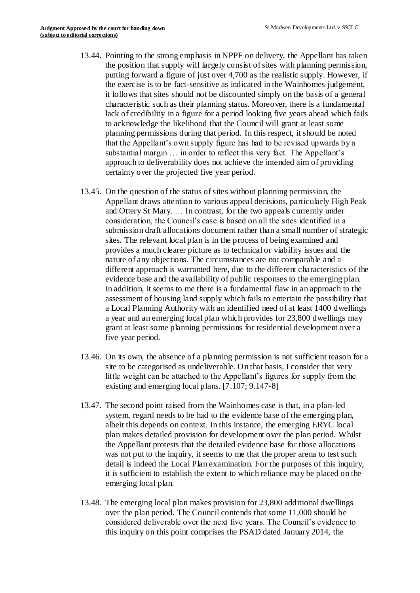- 13.44. Pointing to the strong emphasis in NPPF on delivery, the Appellant has taken the position that supply will largely consist of sites with planning permission, putting forward a figure of just over 4,700 as the realistic supply. However, if the exercise is to be fact-sensitive as indicated in the Wainhomes judgement, it follows that sites should not be discounted simply on the basis of a general characteristic such as their planning status. Moreover, there is a fundamental lack of credibility in a figure for a period looking five years ahead which fails to acknowledge the likelihood that the Council will grant at least some planning permissions during that period. In this respect, it should be noted that the Appellant's own supply figure has had to be revised upwards by a substantial margin … in order to reflect this very fact. The Appellant's approach to deliverability does not achieve the intended aim of providing certainty over the projected five year period.
- 13.45. On the question of the status of sites without planning permission, the Appellant draws attention to various appeal decisions, particularly High Peak and Ottery St Mary. … In contrast, for the two appeals currently under consideration, the Council's case is based on all the sites identified in a submission draft allocations document rather than a small number of strategic sites. The relevant local plan is in the process of being examined and provides a much clearer picture as to technical or viability issues and the nature of any objections. The circumstances are not comparable and a different approach is warranted here, due to the different characteristics of the evidence base and the availability of public responses to the emerging plan. In addition, it seems to me there is a fundamental flaw in an approach to the assessment of housing land supply which fails to entertain the possibility that a Local Planning Authority with an identified need of at least 1400 dwellings a year and an emerging local plan which provides for 23,800 dwellings may grant at least some planning permissions for residential development over a five year period.
- 13.46. On its own, the absence of a planning permission is not sufficient reason for a site to be categorised as undeliverable. On that basis, I consider that very little weight can be attached to the Appellant's figures for supply from the existing and emerging local plans. [7.107; 9.147-8]
- 13.47. The second point raised from the Wainhomes case is that, in a plan-led system, regard needs to be had to the evidence base of the emerging plan, albeit this depends on context. In this instance, the emerging ERYC local plan makes detailed provision for development over the plan period. Whilst the Appellant protests that the detailed evidence base for those allocations was not put to the inquiry, it seems to me that the proper arena to test such detail is indeed the Local Plan examination. For the purposes of this inquiry, it is sufficient to establish the extent to which reliance may be placed on the emerging local plan.
- 13.48. The emerging local plan makes provision for 23,800 additional dwellings over the plan period. The Council contends that some 11,000 should be considered deliverable over the next five years. The Council's evidence to this inquiry on this point comprises the PSAD dated January 2014, the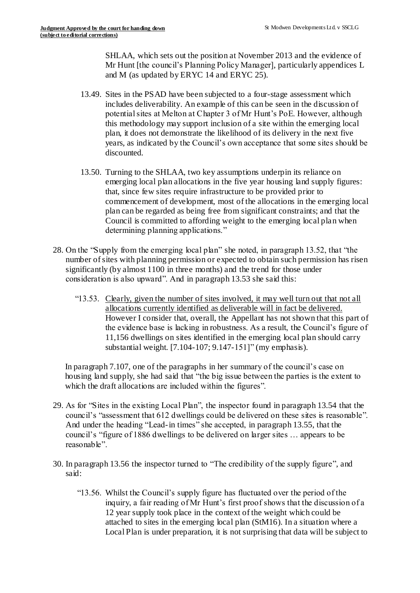SHLAA, which sets out the position at November 2013 and the evidence of Mr Hunt [the council's Planning Policy Manager], particularly appendices L and M (as updated by ERYC 14 and ERYC 25).

- 13.49. Sites in the PSAD have been subjected to a four-stage assessment which includes deliverability. An example of this can be seen in the discussion of potential sites at Melton at Chapter 3 of Mr Hunt's PoE. However, although this methodology may support inclusion of a site within the emerging local plan, it does not demonstrate the likelihood of its delivery in the next five years, as indicated by the Council's own acceptance that some sites should be discounted.
- 13.50. Turning to the SHLAA, two key assumptions underpin its reliance on emerging local plan allocations in the five year housing land supply figures: that, since few sites require infrastructure to be provided prior to commencement of development, most of the allocations in the emerging local plan can be regarded as being free from significant constraints; and that the Council is committed to affording weight to the emerging local plan when determining planning applications."
- 28. On the "Supply from the emerging local plan" she noted, in paragraph 13.52, that "the number of sites with planning permission or expected to obtain such permission has risen significantly (by almost 1100 in three months) and the trend for those under consideration is also upward". And in paragraph 13.53 she said this:
	- "13.53. Clearly, given the number of sites involved, it may well turn out that not all allocations currently identified as deliverable will in fact be delivered. However I consider that, overall, the Appellant has not shown that this part of the evidence base is lacking in robustness. As a result, the Council's figure of 11,156 dwellings on sites identified in the emerging local plan should carry substantial weight. [7.104-107; 9.147-151]" (my emphasis).

In paragraph 7.107, one of the paragraphs in her summary of the council's case on housing land supply, she had said that "the big issue between the parties is the extent to which the draft allocations are included within the figures".

- 29. As for "Sites in the existing Local Plan", the inspector found in paragraph 13.54 that the council's "assessment that 612 dwellings could be delivered on these sites is reasonable". And under the heading "Lead-in times" she accepted, in paragraph 13.55, that the council's "figure of 1886 dwellings to be delivered on larger sites … appears to be reasonable".
- 30. In paragraph 13.56 the inspector turned to "The credibility of the supply figure", and said:
	- "13.56. Whilst the Council's supply figure has fluctuated over the period of the inquiry, a fair reading of Mr Hunt's first proof shows that the discussion of a 12 year supply took place in the context of the weight which could be attached to sites in the emerging local plan (StM16). In a situation where a Local Plan is under preparation, it is not surprising that data will be subject to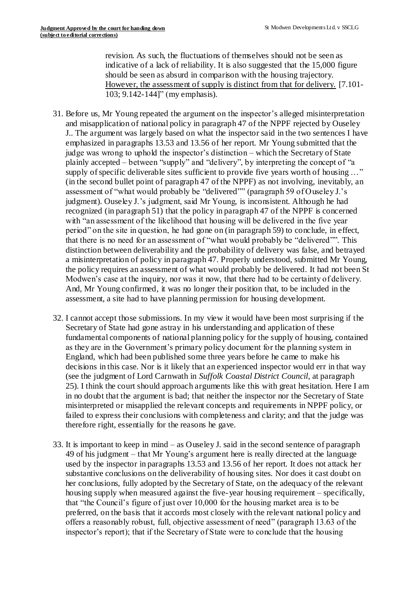revision. As such, the fluctuations of themselves should not be seen as indicative of a lack of reliability. It is also suggested that the 15,000 figure should be seen as absurd in comparison with the housing trajectory. However, the assessment of supply is distinct from that for delivery. [7.101- 103; 9.142-144]" (my emphasis).

- 31. Before us, Mr Young repeated the argument on the inspector's alleged misinterpretation and misapplication of national policy in paragraph 47 of the NPPF rejected by Ouseley J.. The argument was largely based on what the inspector said in the two sentences I have emphasized in paragraphs 13.53 and 13.56 of her report. Mr Young submitted that the judge was wrong to uphold the inspector's distinction – which the Secretary of State plainly accepted – between "supply" and "delivery", by interpreting the concept of "a supply of specific deliverable sites sufficient to provide five years worth of housing ..." (in the second bullet point of paragraph 47 of the NPPF) as not involving, inevitably, an assessment of "what would probably be "delivered"" (paragraph 59 of Ouseley J.'s judgment). Ouseley J.'s judgment, said Mr Young, is inconsistent. Although he had recognized (in paragraph 51) that the policy in paragraph 47 of the NPPF is concerned with "an assessment of the likelihood that housing will be delivered in the five year period" on the site in question, he had gone on (in paragraph 59) to conclude, in effect, that there is no need for an assessment of "what would probably be "delivered"". This distinction between deliverability and the probability of delivery was false, and betrayed a misinterpretation of policy in paragraph 47. Properly understood, submitted Mr Young, the policy requires an assessment of what would probably be delivered. It had not been St Modwen's case at the inquiry, nor was it now, that there had to be certainty of delivery. And, Mr Young confirmed, it was no longer their position that, to be included in the assessment, a site had to have planning permission for housing development.
- 32. I cannot accept those submissions. In my view it would have been most surprising if the Secretary of State had gone astray in his understanding and application of these fundamental components of national planning policy for the supply of housing, contained as they are in the Government's primary policy document for the planning system in England, which had been published some three years before he came to make his decisions in this case. Nor is it likely that an experienced inspector would err in that way (see the judgment of Lord Carnwath in *Suffolk Coastal District Council*, at paragraph 25). I think the court should approach arguments like this with great hesitation. Here I am in no doubt that the argument is bad; that neither the inspector nor the Secretary of State misinterpreted or misapplied the relevant concepts and requirements in NPPF policy, or failed to express their conclusions with completeness and clarity; and that the judge was therefore right, essentially for the reasons he gave.
- 33. It is important to keep in mind as Ouseley J. said in the second sentence of paragraph 49 of his judgment – that Mr Young's argument here is really directed at the language used by the inspector in paragraphs 13.53 and 13.56 of her report. It does not attack her substantive conclusions on the deliverability of housing sites. Nor does it cast doubt on her conclusions, fully adopted by the Secretary of State, on the adequacy of the relevant housing supply when measured against the five-year housing requirement – specifically, that "the Council's figure of just over 10,000 for the housing market area is to be preferred, on the basis that it accords most closely with the relevant national policy and offers a reasonably robust, full, objective assessment of need" (paragraph 13.63 of the inspector's report); that if the Secretary of State were to conclude that the housing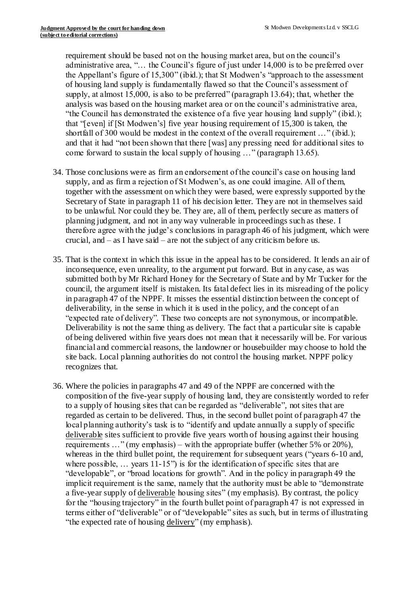requirement should be based not on the housing market area, but on the council's administrative area, "… the Council's figure of just under 14,000 is to be preferred over the Appellant's figure of 15,300" (ibid.); that St Modwen's "approach to the assessment of housing land supply is fundamentally flawed so that the Council's assessment of supply, at almost 15,000, is also to be preferred" (paragraph 13.64); that, whether the analysis was based on the housing market area or on the council's administrative area, "the Council has demonstrated the existence of a five year housing land supply" (ibid.); that "[even] if [St Modwen's] five year housing requirement of 15,300 is taken, the shortfall of 300 would be modest in the context of the overall requirement ..." (ibid.); and that it had "not been shown that there [was] any pressing need for additional sites to come forward to sustain the local supply of housing …" (paragraph 13.65).

- 34. Those conclusions were as firm an endorsement of the council's case on housing land supply, and as firm a rejection of St Modwen's, as one could imagine. All of them, together with the assessment on which they were based, were expressly supported by the Secretary of State in paragraph 11 of his decision letter. They are not in themselves said to be unlawful. Nor could they be. They are, all of them, perfectly secure as matters of planning judgment, and not in any way vulnerable in proceedings such as these. I therefore agree with the judge's conclusions in paragraph 46 of his judgment, which were crucial, and – as I have said – are not the subject of any criticism before us.
- 35. That is the context in which this issue in the appeal has to be considered. It lends an air of inconsequence, even unreality, to the argument put forward. But in any case, as was submitted both by Mr Richard Honey for the Secretary of State and by Mr Tucker for the council, the argument itself is mistaken. Its fatal defect lies in its misreading of the policy in paragraph 47 of the NPPF. It misses the essential distinction between the concept of deliverability, in the sense in which it is used in the policy, and the concept of an "expected rate of delivery". These two concepts are not synonymous, or incompatible. Deliverability is not the same thing as delivery. The fact that a particular site is capable of being delivered within five years does not mean that it necessarily will be. For various financial and commercial reasons, the landowner or housebuilder may choose to hold the site back. Local planning authorities do not control the housing market. NPPF policy recognizes that.
- 36. Where the policies in paragraphs 47 and 49 of the NPPF are concerned with the composition of the five-year supply of housing land, they are consistently worded to refer to a supply of housing sites that can be regarded as "deliverable", not sites that are regarded as certain to be delivered. Thus, in the second bullet point of paragraph 47 the local planning authority's task is to "identify and update annually a supply of specific deliverable sites sufficient to provide five years worth of housing against their housing requirements …" (my emphasis) – with the appropriate buffer (whether 5% or 20%), whereas in the third bullet point, the requirement for subsequent years ("years 6-10 and, where possible, ... years 11-15") is for the identification of specific sites that are "developable", or "broad locations for growth". And in the policy in paragraph 49 the implicit requirement is the same, namely that the authority must be able to "demonstrate a five-year supply of deliverable housing sites" (my emphasis). By contrast, the policy for the "housing trajectory" in the fourth bullet point of paragraph 47 is not expressed in terms either of "deliverable" or of "developable" sites as such, but in terms of illustrating "the expected rate of housing delivery" (my emphasis).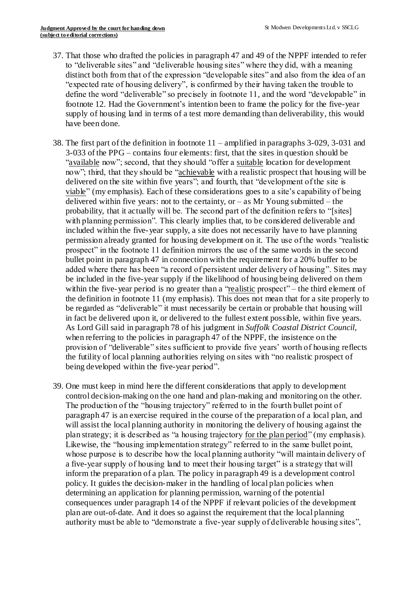- 37. That those who drafted the policies in paragraph 47 and 49 of the NPPF intended to refer to "deliverable sites" and "deliverable housing sites" where they did, with a meaning distinct both from that of the expression "developable sites" and also from the idea of an "expected rate of housing delivery", is confirmed by their having taken the trouble to define the word "deliverable" so precisely in footnote 11, and the word "developable" in footnote 12. Had the Government's intention been to frame the policy for the five-year supply of housing land in terms of a test more demanding than deliverability, this would have been done.
- 38. The first part of the definition in footnote 11 amplified in paragraphs 3-029, 3-031 and 3-033 of the PPG – contains four elements: first, that the sites in question should be "available now"; second, that they should "offer a suitable location for development now"; third, that they should be "achievable with a realistic prospect that housing will be delivered on the site within five years"; and fourth, that "development of the site is viable" (my emphasis). Each of these considerations goes to a site's capability of being delivered within five years: not to the certainty, or  $-$  as Mr Young submitted  $-$  the probability, that it actually will be. The second part of the definition refers to "[sites] with planning permission". This clearly implies that, to be considered deliverable and included within the five-year supply, a site does not necessarily have to have planning permission already granted for housing development on it. The use of the words "realistic prospect" in the footnote 11 definition mirrors the use of the same words in the second bullet point in paragraph 47 in connection with the requirement for a 20% buffer to be added where there has been "a record of persistent under delivery of housing". Sites may be included in the five-year supply if the likelihood of housing being delivered on them within the five-year period is no greater than a "realistic prospect" – the third element of the definition in footnote 11 (my emphasis). This does not mean that for a site properly to be regarded as "deliverable" it must necessarily be certain or probable that housing will in fact be delivered upon it, or delivered to the fullest extent possible, within five years. As Lord Gill said in paragraph 78 of his judgment in *Suffolk Coastal District Council*, when referring to the policies in paragraph 47 of the NPPF, the insistence on the provision of "deliverable" sites sufficient to provide five years' worth of housing reflects the futility of local planning authorities relying on sites with "no realistic prospect of being developed within the five-year period".
- 39. One must keep in mind here the different considerations that apply to development control decision-making on the one hand and plan-making and monitoring on the other. The production of the "housing trajectory" referred to in the fourth bullet point of paragraph 47 is an exercise required in the course of the preparation of a local plan, and will assist the local planning authority in monitoring the delivery of housing against the plan strategy; it is described as "a housing trajectory for the plan period" (my emphasis). Likewise, the "housing implementation strategy" referred to in the same bullet point, whose purpose is to describe how the local planning authority "will maintain delivery of a five-year supply of housing land to meet their housing target" is a strategy that will inform the preparation of a plan. The policy in paragraph 49 is a development control policy. It guides the decision-maker in the handling of local plan policies when determining an application for planning permission, warning of the potential consequences under paragraph 14 of the NPPF if relevant policies of the development plan are out-of-date. And it does so against the requirement that the local planning authority must be able to "demonstrate a five-year supply of deliverable housing sites",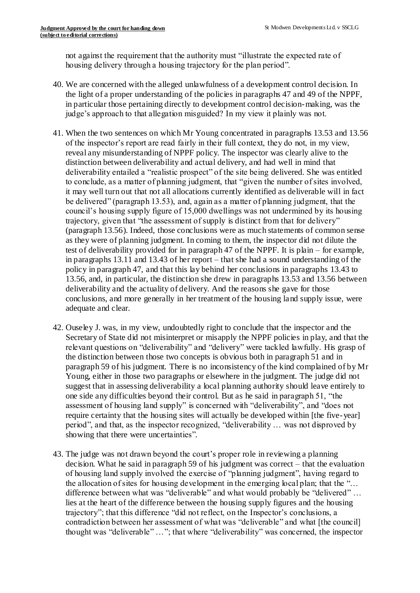not against the requirement that the authority must "illustrate the expected rate of housing delivery through a housing trajectory for the plan period".

- 40. We are concerned with the alleged unlawfulness of a development control decision. In the light of a proper understanding of the policies in paragraphs 47 and 49 of the NPPF, in particular those pertaining directly to development control decision-making, was the judge's approach to that allegation misguided? In my view it plainly was not.
- 41. When the two sentences on which Mr Young concentrated in paragraphs 13.53 and 13.56 of the inspector's report are read fairly in their full context, they do not, in my view, reveal any misunderstanding of NPPF policy. The inspector was clearly alive to the distinction between deliverability and actual delivery, and had well in mind that deliverability entailed a "realistic prospect" of the site being delivered. She was entitled to conclude, as a matter of planning judgment, that "given the number of sites involved, it may well turn out that not all allocations currently identified as deliverable will in fact be delivered" (paragraph 13.53), and, again as a matter of planning judgment, that the council's housing supply figure of 15,000 dwellings was not undermined by its housing trajectory, given that "the assessment of supply is distinct from that for delivery" (paragraph 13.56). Indeed, those conclusions were as much statements of common sense as they were of planning judgment. In coming to them, the inspector did not dilute the test of deliverability provided for in paragraph 47 of the NPPF. It is plain – for example, in paragraphs 13.11 and 13.43 of her report – that she had a sound understanding of the policy in paragraph 47, and that this lay behind her conclusions in paragraphs 13.43 to 13.56, and, in particular, the distinction she drew in paragraphs 13.53 and 13.56 between deliverability and the actuality of delivery. And the reasons she gave for those conclusions, and more generally in her treatment of the housing land supply issue, were adequate and clear.
- 42. Ouseley J. was, in my view, undoubtedly right to conclude that the inspector and the Secretary of State did not misinterpret or misapply the NPPF policies in play, and that the relevant questions on "deliverability" and "delivery" were tackled lawfully. His grasp of the distinction between those two concepts is obvious both in paragraph 51 and in paragraph 59 of his judgment. There is no inconsistency of the kind complained of by Mr Young, either in those two paragraphs or elsewhere in the judgment. The judge did not suggest that in assessing deliverability a local planning authority should leave entirely to one side any difficulties beyond their control. But as he said in paragraph 51, "the assessment of housing land supply" is concerned with "deliverability", and "does not require certainty that the housing sites will actually be developed within [the five-year] period", and that, as the inspector recognized, "deliverability … was not disproved by showing that there were uncertainties".
- 43. The judge was not drawn beyond the court's proper role in reviewing a planning decision. What he said in paragraph 59 of his judgment was correct – that the evaluation of housing land supply involved the exercise of "planning judgment", having regard to the allocation of sites for housing development in the emerging local plan; that the "… difference between what was "deliverable" and what would probably be "delivered" … lies at the heart of the difference between the housing supply figures and the housing trajectory"; that this difference "did not reflect, on the Inspector's conclusions, a contradiction between her assessment of what was "deliverable" and what [the council] thought was "deliverable" …"; that where "deliverability" was concerned, the inspector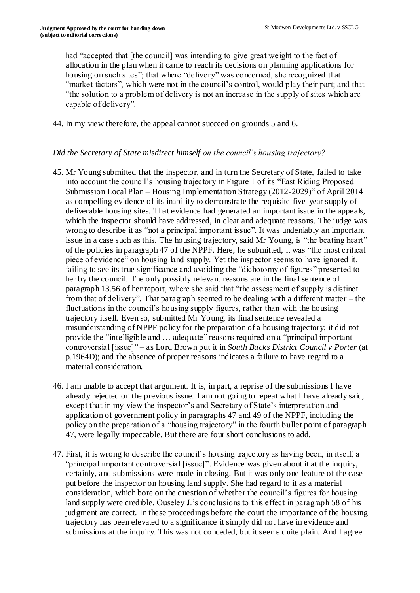had "accepted that [the council] was intending to give great weight to the fact of allocation in the plan when it came to reach its decisions on planning applications for housing on such sites"; that where "delivery" was concerned, she recognized that "market factors", which were not in the council's control, would play their part; and that "the solution to a problem of delivery is not an increase in the supply of sites which are capable of delivery".

44. In my view therefore, the appeal cannot succeed on grounds 5 and 6.

# *Did the Secretary of State misdirect himself on the council's housing trajectory?*

- 45. Mr Young submitted that the inspector, and in turn the Secretary of State, failed to take into account the council's housing trajectory in Figure 1 of its "East Riding Proposed Submission Local Plan – Housing Implementation Strategy (2012-2029)" of April 2014 as compelling evidence of its inability to demonstrate the requisite five-year supply of deliverable housing sites. That evidence had generated an important issue in the appeals, which the inspector should have addressed, in clear and adequate reasons. The judge was wrong to describe it as "not a principal important issue". It was undeniably an important issue in a case such as this. The housing trajectory, said Mr Young, is "the beating heart" of the policies in paragraph 47 of the NPPF. Here, he submitted, it was "the most critical piece of evidence" on housing land supply. Yet the inspector seems to have ignored it, failing to see its true significance and avoiding the "dichotomy of figures" presented to her by the council. The only possibly relevant reasons are in the final sentence of paragraph 13.56 of her report, where she said that "the assessment of supply is distinct from that of delivery". That paragraph seemed to be dealing with a different matter – the fluctuations in the council's housing supply figures, rather than with the housing trajectory itself. Even so, submitted Mr Young, its final sentence revealed a misunderstanding of NPPF policy for the preparation of a housing trajectory; it did not provide the "intelligible and … adequate" reasons required on a "principal important controversial [issue]" – as Lord Brown put it in *South Bucks District Council v Porter* (at p.1964D); and the absence of proper reasons indicates a failure to have regard to a material consideration.
- 46. I am unable to accept that argument. It is, in part, a reprise of the submissions I have already rejected on the previous issue. I am not going to repeat what I have already said, except that in my view the inspector's and Secretary of State's interpretation and application of government policy in paragraphs 47 and 49 of the NPPF, including the policy on the preparation of a "housing trajectory" in the fourth bullet point of paragraph 47, were legally impeccable. But there are four short conclusions to add.
- 47. First, it is wrong to describe the council's housing trajectory as having been, in itself, a "principal important controversial [issue]". Evidence was given about it at the inquiry, certainly, and submissions were made in closing. But it was only one feature of the case put before the inspector on housing land supply. She had regard to it as a material consideration, which bore on the question of whether the council's figures for housing land supply were credible. Ouseley J.'s conclusions to this effect in paragraph 58 of his judgment are correct. In these proceedings before the court the importance of the housing trajectory has been elevated to a significance it simply did not have in evidence and submissions at the inquiry. This was not conceded, but it seems quite plain. And I agree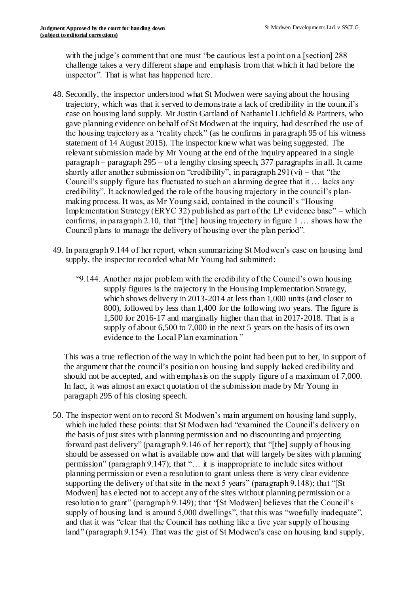with the judge's comment that one must "be cautious lest a point on a [section] 288 challenge takes a very different shape and emphasis from that which it had before the inspector". That is what has happened here.

- 48. Secondly, the inspector understood what St Modwen were saying about the housing trajectory, which was that it served to demonstrate a lack of credibility in the council's case on housing land supply. Mr Justin Gartland of Nathaniel Lichfield & Partners, who gave planning evidence on behalf of St Modwen at the inquiry, had described the use of the housing trajectory as a "reality check" (as he confirms in paragraph 95 of his witness statement of 14 August 2015). The inspector knew what was being suggested. The relevant submission made by Mr Young at the end of the inquiry appeared in a single paragraph – paragraph 295 – of a lengthy closing speech, 377 paragraphs in all. It came shortly after another submission on "credibility", in paragraph  $291(vi)$  – that "the Council's supply figure has fluctuated to such an alarming degree that it … lacks any credibility". It acknowledged the role of the housing trajectory in the council's planmaking process. It was, as Mr Young said, contained in the council's "Housing Implementation Strategy (ERYC 32) published as part of the LP evidence base" – which confirms, in paragraph 2.10, that "[the] housing trajectory in figure 1 … shows how the Council plans to manage the delivery of housing over the plan period".
- 49. In paragraph 9.144 of her report, when summarizing St Modwen's case on housing land supply, the inspector recorded what Mr Young had submitted:
	- "9.144. Another major problem with the credibility of the Council's own housing supply figures is the trajectory in the Housing Implementation Strategy, which shows delivery in 2013-2014 at less than 1,000 units (and closer to 800), followed by less than 1,400 for the following two years. The figure is 1,500 for 2016-17 and marginally higher than that in 2017-2018. That is a supply of about 6,500 to 7,000 in the next 5 years on the basis of its own evidence to the Local Plan examination."

This was a true reflection of the way in which the point had been put to her, in support of the argument that the council's position on housing land supply lacked credibility and should not be accepted, and with emphasis on the supply figure of a maximum of 7,000. In fact, it was almost an exact quotation of the submission made by Mr Young in paragraph 295 of his closing speech.

50. The inspector went on to record St Modwen's main argument on housing land supply, which included these points: that St Modwen had "examined the Council's delivery on the basis of just sites with planning permission and no discounting and projecting forward past delivery" (paragraph 9.146 of her report); that "[the] supply of housing should be assessed on what is available now and that will largely be sites with planning permission" (paragraph 9.147); that "… it is inappropriate to include sites without planning permission or even a resolution to grant unless there is very clear evidence supporting the delivery of that site in the next 5 years" (paragraph 9.148); that "[St] Modwen] has elected not to accept any of the sites without planning permission or a resolution to grant" (paragraph 9.149); that "[St Modwen] believes that the Council's supply of housing land is around 5,000 dwellings", that this was "woefully inadequate", and that it was "clear that the Council has nothing like a five year supply of housing land" (paragraph 9.154). That was the gist of St Modwen's case on housing land supply,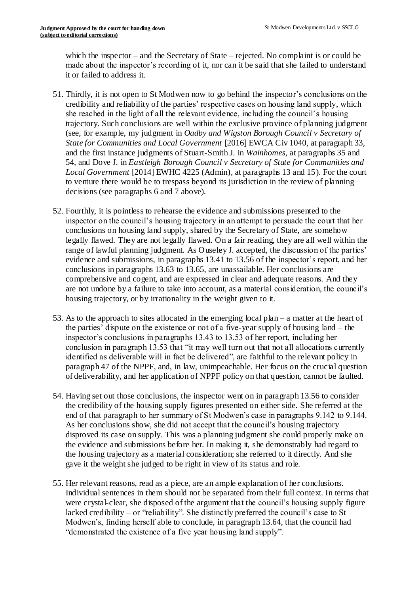which the inspector – and the Secretary of State – rejected. No complaint is or could be made about the inspector's recording of it, nor can it be said that she failed to understand it or failed to address it.

- 51. Thirdly, it is not open to St Modwen now to go behind the inspector's conclusions on the credibility and reliability of the parties' respective cases on housing land supply, which she reached in the light of all the relevant evidence, including the council's housing trajectory. Such conclusions are well within the exclusive province of planning judgment (see, for example, my judgment in *Oadby and Wigston Borough Council v Secretary of State for Communities and Local Government* [2016] EWCA Civ 1040, at paragraph 33, and the first instance judgments of Stuart-Smith J. in *Wainhomes*, at paragraphs 35 and 54, and Dove J. in *Eastleigh Borough Council v Secretary of State for Communities and Local Government* [2014] EWHC 4225 (Admin), at paragraphs 13 and 15). For the court to venture there would be to trespass beyond its jurisdiction in the review of planning decisions (see paragraphs 6 and 7 above).
- 52. Fourthly, it is pointless to rehearse the evidence and submissions presented to the inspector on the council's housing trajectory in an attempt to persuade the court that her conclusions on housing land supply, shared by the Secretary of State, are somehow legally flawed. They are not legally flawed. On a fair reading, they are all well within the range of lawful planning judgment. As Ouseley J. accepted, the discussion of the parties' evidence and submissions, in paragraphs 13.41 to 13.56 of the inspector's report, and her conclusions in paragraphs 13.63 to 13.65, are unassailable. Her conclusions are comprehensive and cogent, and are expressed in clear and adequate reasons. And they are not undone by a failure to take into account, as a material consideration, the council's housing trajectory, or by irrationality in the weight given to it.
- 53. As to the approach to sites allocated in the emerging local plan a matter at the heart of the parties' dispute on the existence or not of a five-year supply of housing land – the inspector's conclusions in paragraphs 13.43 to 13.53 of her report, including her conclusion in paragraph 13.53 that "it may well turn out that not all allocations currently identified as deliverable will in fact be delivered", are faithful to the relevant policy in paragraph 47 of the NPPF, and, in law, unimpeachable. Her focus on the crucial question of deliverability, and her application of NPPF policy on that question, cannot be faulted.
- 54. Having set out those conclusions, the inspector went on in paragraph 13.56 to consider the credibility of the housing supply figures presented on either side. She referred at the end of that paragraph to her summary of St Modwen's case in paragraphs 9.142 to 9.144. As her conclusions show, she did not accept that the council's housing trajectory disproved its case on supply. This was a planning judgment she could properly make on the evidence and submissions before her. In making it, she demonstrably had regard to the housing trajectory as a material consideration; she referred to it directly. And she gave it the weight she judged to be right in view of its status and role.
- 55. Her relevant reasons, read as a piece, are an ample explanation of her conclusions. Individual sentences in them should not be separated from their full context. In terms that were crystal-clear, she disposed of the argument that the council's housing supply figure lacked credibility – or "reliability". She distinctly preferred the council's case to St Modwen's, finding herself able to conclude, in paragraph 13.64, that the council had "demonstrated the existence of a five year housing land supply".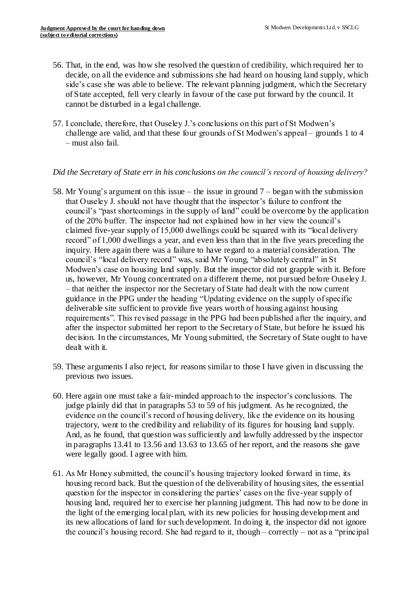- 56. That, in the end, was how she resolved the question of credibility, which required her to decide, on all the evidence and submissions she had heard on housing land supply, which side's case she was able to believe. The relevant planning judgment, which the Secretary of State accepted, fell very clearly in favour of the case put forward by the council. It cannot be disturbed in a legal challenge.
- 57. I conclude, therefore, that Ouseley J.'s conclusions on this part of St Modwen's challenge are valid, and that these four grounds of St Modwen's appeal – grounds 1 to 4 – must also fail.

# *Did the Secretary of State err in his conclusions on the council's record of housing delivery?*

- 58. Mr Young's argument on this issue the issue in ground 7 began with the submission that Ouseley J. should not have thought that the inspector's failure to confront the council's "past shortcomings in the supply of land" could be overcome by the application of the 20% buffer. The inspector had not explained how in her view the council's claimed five-year supply of 15,000 dwellings could be squared with its "local delivery record" of 1,000 dwellings a year, and even less than that in the five years preceding the inquiry. Here again there was a failure to have regard to a material consideration. The council's "local delivery record" was, said Mr Young, "absolutely central" in St Modwen's case on housing land supply. But the inspector did not grapple with it. Before us, however, Mr Young concentrated on a different theme, not pursued before Ouseley J. – that neither the inspector nor the Secretary of State had dealt with the now current guidance in the PPG under the heading "Updating evidence on the supply of specific deliverable site sufficient to provide five years worth of housing against housing requirements". This revised passage in the PPG had been published after the inquiry, and after the inspector submitted her report to the Secretary of State, but before he issued his decision. In the circumstances, Mr Young submitted, the Secretary of State ought to have dealt with it.
- 59. These arguments I also reject, for reasons similar to those I have given in discussing the previous two issues.
- 60. Here again one must take a fair-minded approach to the inspector's conclusions. The judge plainly did that in paragraphs 53 to 59 of his judgment. As he recognized, the evidence on the council's record of housing delivery, like the evidence on its housing trajectory, went to the credibility and reliability of its figures for housing land supply. And, as he found, that question was sufficiently and lawfully addressed by the inspector in paragraphs 13.41 to 13.56 and 13.63 to 13.65 of her report, and the reasons she gave were legally good. I agree with him.
- 61. As Mr Honey submitted, the council's housing trajectory looked forward in time, its housing record back. But the question of the deliverability of housing sites, the essential question for the inspector in considering the parties' cases on the five-year supply of housing land, required her to exercise her planning judgment. This had now to be done in the light of the emerging local plan, with its new policies for housing development and its new allocations of land for such development. In doing it, the inspector did not ignore the council's housing record. She had regard to it, though – correctly – not as a "principal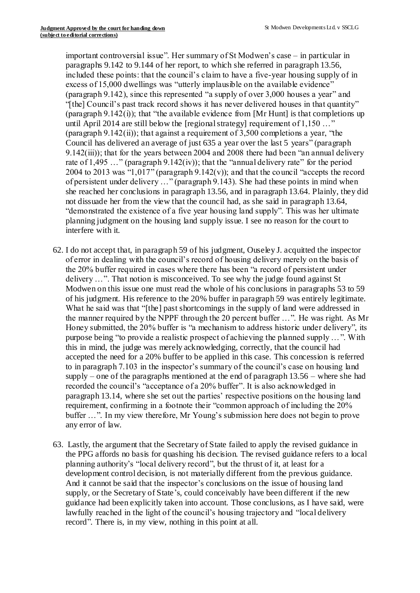important controversial issue". Her summary of St Modwen's case – in particular in paragraphs 9.142 to 9.144 of her report, to which she referred in paragraph 13.56, included these points: that the council's claim to have a five-year housing supply of in excess of 15,000 dwellings was "utterly implausible on the available evidence" (paragraph 9.142), since this represented "a supply of over 3,000 houses a year" and "[the] Council's past track record shows it has never delivered houses in that quantity" (paragraph  $9.142(i)$ ); that "the available evidence from [Mr Hunt] is that completions up until April 2014 are still below the [regional strategy] requirement of 1,150 ..." (paragraph  $9.142(ii)$ ); that against a requirement of 3,500 completions a year, "the Council has delivered an average of just 635 a year over the last 5 years" (paragraph 9.142(iii)); that for the years between 2004 and 2008 there had been "an annual delivery rate of  $1,495...$ " (paragraph  $9.142(iv)$ ); that the "annual delivery rate" for the period 2004 to 2013 was "1,017" (paragraph  $9.142(v)$ ); and that the council "accepts the record of persistent under delivery …" (paragraph 9.143). She had these points in mind when she reached her conclusions in paragraph 13.56, and in paragraph 13.64. Plainly, they did not dissuade her from the view that the council had, as she said in paragraph 13.64, "demonstrated the existence of a five year housing land supply". This was her ultimate planning judgment on the housing land supply issue. I see no reason for the court to interfere with it.

- 62. I do not accept that, in paragraph 59 of his judgment, Ouseley J. acquitted the inspector of error in dealing with the council's record of housing delivery merely on the basis of the 20% buffer required in cases where there has been "a record of persistent under delivery …". That notion is misconceived. To see why the judge found against St Modwen on this issue one must read the whole of his conclusions in paragraphs 53 to 59 of his judgment. His reference to the 20% buffer in paragraph 59 was entirely legitimate. What he said was that "[the] past shortcomings in the supply of land were addressed in the manner required by the NPPF through the 20 percent buffer …". He was right. As Mr Honey submitted, the 20% buffer is "a mechanism to address historic under delivery", its purpose being "to provide a realistic prospect of achieving the planned supply …". With this in mind, the judge was merely acknowledging, correctly, that the council had accepted the need for a 20% buffer to be applied in this case. This concession is referred to in paragraph 7.103 in the inspector's summary of the council's case on housing land supply – one of the paragraphs mentioned at the end of paragraph  $13.56$  – where she had recorded the council's "acceptance of a 20% buffer". It is also acknowledged in paragraph 13.14, where she set out the parties' respective positions on the housing land requirement, confirming in a footnote their "common approach of including the 20% buffer …". In my view therefore, Mr Young's submission here does not begin to prove any error of law.
- 63. Lastly, the argument that the Secretary of State failed to apply the revised guidance in the PPG affords no basis for quashing his decision. The revised guidance refers to a local planning authority's "local delivery record", but the thrust of it, at least for a development control decision, is not materially different from the previous guidance. And it cannot be said that the inspector's conclusions on the issue of housing land supply, or the Secretary of State's, could conceivably have been different if the new guidance had been explicitly taken into account. Those conclusions, as I have said, were lawfully reached in the light of the council's housing trajectory and "local delivery record". There is, in my view, nothing in this point at all.